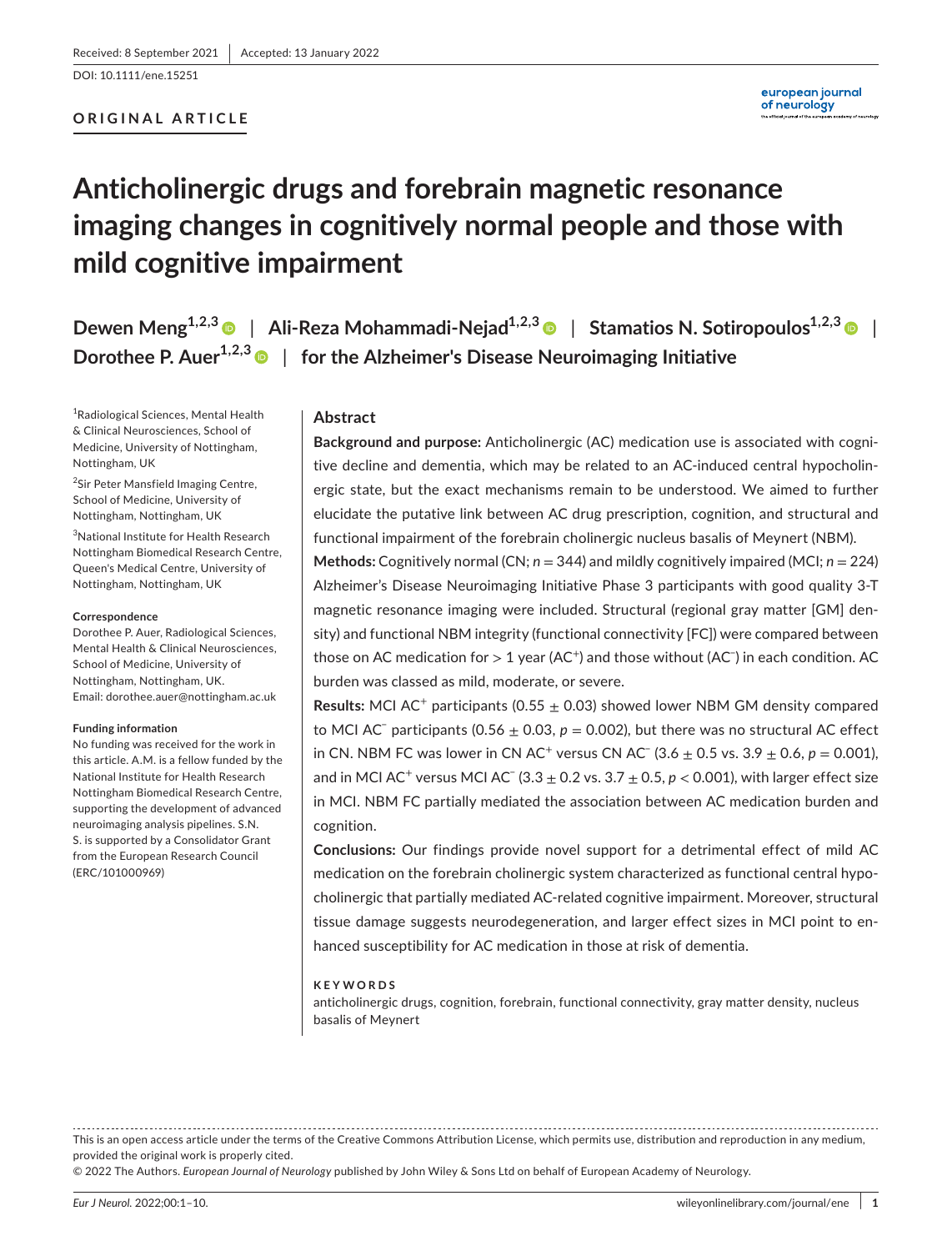DOI: 10.1111/ene.15251

# **ORIGINAL ARTICLE**

# **Anticholinergic drugs and forebrain magnetic resonance imaging changes in cognitively normal people and those with mild cognitive impairment**

**Dewen Meng<sup>1,2,[3](https://orcid.org/0000-0003-4735-5776)</sup> | Ali-Reza Mohammadi-Nejad**<sup>1,2,3</sup> | Stamatios N. Sotiropoulos<sup>1,2,3</sup> | **Dorothee P. Auer<sup>1,2,[3](https://orcid.org/0000-0002-4745-3635)</sup> | for the Alzheimer's Disease Neuroimaging Initiative** 

1 Radiological Sciences, Mental Health & Clinical Neurosciences, School of Medicine, University of Nottingham, Nottingham, UK

<sup>2</sup>Sir Peter Mansfield Imaging Centre, School of Medicine, University of Nottingham, Nottingham, UK

3 National Institute for Health Research Nottingham Biomedical Research Centre, Queen's Medical Centre, University of Nottingham, Nottingham, UK

#### **Correspondence**

Dorothee P. Auer, Radiological Sciences, Mental Health & Clinical Neurosciences, School of Medicine, University of Nottingham, Nottingham, UK. Email: [dorothee.auer@nottingham.ac.uk](mailto:dorothee.auer@nottingham.ac.uk)

#### **Funding information**

No funding was received for the work in this article. A.M. is a fellow funded by the National Institute for Health Research Nottingham Biomedical Research Centre, supporting the development of advanced neuroimaging analysis pipelines. S.N. S. is supported by a Consolidator Grant from the European Research Council (ERC/101000969)

# **Abstract**

**Background and purpose:** Anticholinergic (AC) medication use is associated with cognitive decline and dementia, which may be related to an AC-induced central hypocholinergic state, but the exact mechanisms remain to be understood. We aimed to further elucidate the putative link between AC drug prescription, cognition, and structural and functional impairment of the forebrain cholinergic nucleus basalis of Meynert (NBM).

**Methods:** Cognitively normal (CN; *n* = 344) and mildly cognitively impaired (MCI; *n* = 224) Alzheimer's Disease Neuroimaging Initiative Phase 3 participants with good quality 3-T magnetic resonance imaging were included. Structural (regional gray matter [GM] density) and functional NBM integrity (functional connectivity [FC]) were compared between those on AC medication for  $>1$  year (AC $^+$ ) and those without (AC $^−$ ) in each condition. AC burden was classed as mild, moderate, or severe.

**Results:** MCI AC<sup>+</sup> participants (0.55  $\pm$  0.03) showed lower NBM GM density compared to MCI AC− participants (0.56 ± 0.03, *p* = 0.002), but there was no structural AC effect in CN. NBM FC was lower in CN AC<sup>+</sup> versus CN AC<sup>−</sup> (3.6  $\pm$  0.5 vs. 3.9  $\pm$  0.6, *p* = 0.001), and in MCI AC<sup>+</sup> versus MCI AC<sup>−</sup> (3.3  $\pm$  0.2 vs. 3.7  $\pm$  0.5,  $p$  < 0.001), with larger effect size in MCI. NBM FC partially mediated the association between AC medication burden and cognition.

**Conclusions:** Our findings provide novel support for a detrimental effect of mild AC medication on the forebrain cholinergic system characterized as functional central hypocholinergic that partially mediated AC-related cognitive impairment. Moreover, structural tissue damage suggests neurodegeneration, and larger effect sizes in MCI point to enhanced susceptibility for AC medication in those at risk of dementia.

#### **KEYWORDS**

anticholinergic drugs, cognition, forebrain, functional connectivity, gray matter density, nucleus basalis of Meynert

This is an open access article under the terms of the [Creative Commons Attribution](http://creativecommons.org/licenses/by/4.0/) License, which permits use, distribution and reproduction in any medium, provided the original work is properly cited.

© 2022 The Authors. *European Journal of Neurology* published by John Wiley & Sons Ltd on behalf of European Academy of Neurology.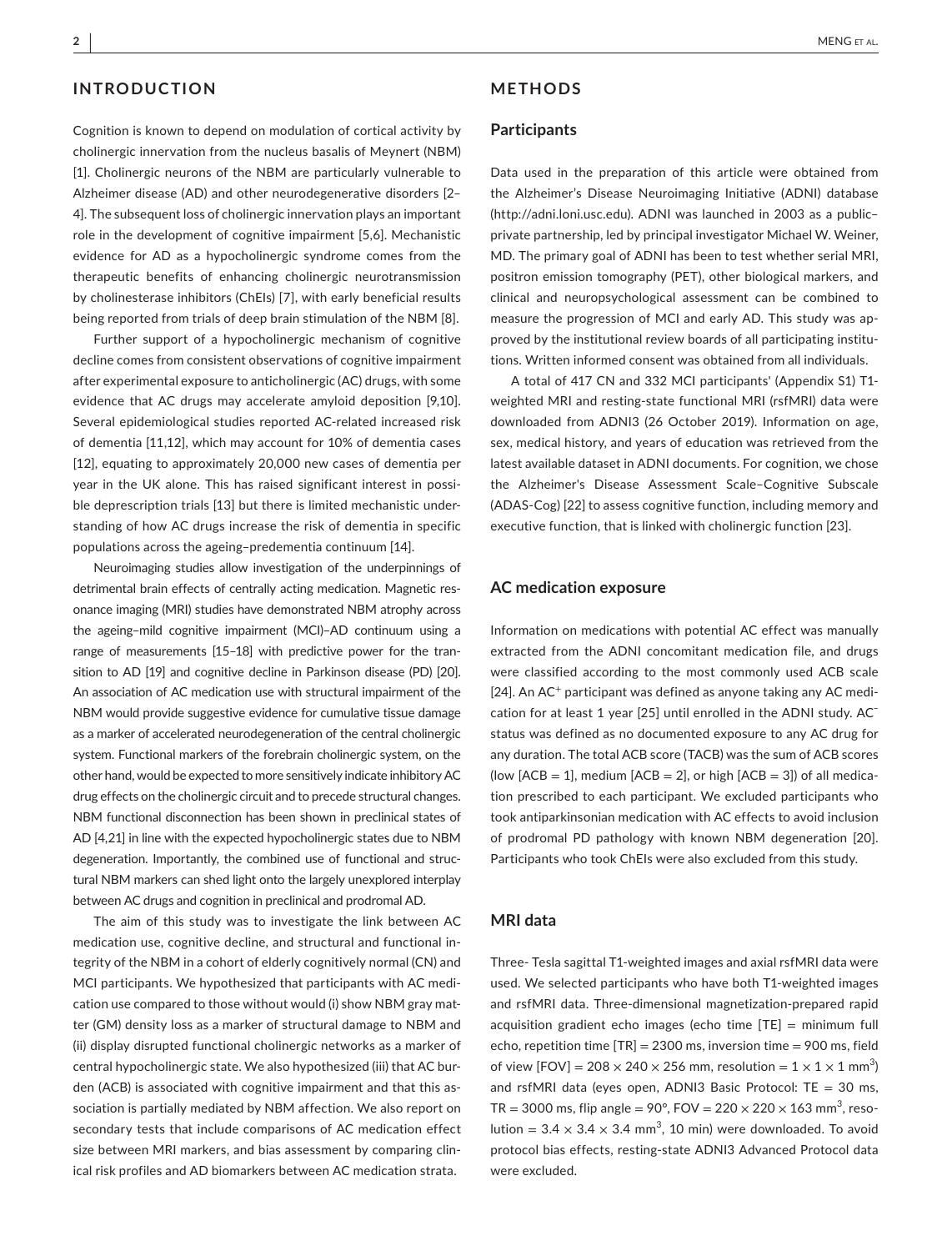# **INTRODUCTION**

Cognition is known to depend on modulation of cortical activity by cholinergic innervation from the nucleus basalis of Meynert (NBM) [1]. Cholinergic neurons of the NBM are particularly vulnerable to Alzheimer disease (AD) and other neurodegenerative disorders [2– 4]. The subsequent loss of cholinergic innervation plays an important role in the development of cognitive impairment [5,6]. Mechanistic evidence for AD as a hypocholinergic syndrome comes from the therapeutic benefits of enhancing cholinergic neurotransmission by cholinesterase inhibitors (ChEIs) [7], with early beneficial results being reported from trials of deep brain stimulation of the NBM [8].

Further support of a hypocholinergic mechanism of cognitive decline comes from consistent observations of cognitive impairment after experimental exposure to anticholinergic (AC) drugs, with some evidence that AC drugs may accelerate amyloid deposition [9,10]. Several epidemiological studies reported AC-related increased risk of dementia [11,12], which may account for 10% of dementia cases [12], equating to approximately 20,000 new cases of dementia per year in the UK alone. This has raised significant interest in possible deprescription trials [13] but there is limited mechanistic understanding of how AC drugs increase the risk of dementia in specific populations across the ageing–predementia continuum [14].

Neuroimaging studies allow investigation of the underpinnings of detrimental brain effects of centrally acting medication. Magnetic resonance imaging (MRI) studies have demonstrated NBM atrophy across the ageing–mild cognitive impairment (MCI)–AD continuum using a range of measurements [15–18] with predictive power for the transition to AD [19] and cognitive decline in Parkinson disease (PD) [20]. An association of AC medication use with structural impairment of the NBM would provide suggestive evidence for cumulative tissue damage as a marker of accelerated neurodegeneration of the central cholinergic system. Functional markers of the forebrain cholinergic system, on the other hand, would be expected to more sensitively indicate inhibitory AC drug effects on the cholinergic circuit and to precede structural changes. NBM functional disconnection has been shown in preclinical states of AD [4,21] in line with the expected hypocholinergic states due to NBM degeneration. Importantly, the combined use of functional and structural NBM markers can shed light onto the largely unexplored interplay between AC drugs and cognition in preclinical and prodromal AD.

The aim of this study was to investigate the link between AC medication use, cognitive decline, and structural and functional integrity of the NBM in a cohort of elderly cognitively normal (CN) and MCI participants. We hypothesized that participants with AC medication use compared to those without would (i) show NBM gray matter (GM) density loss as a marker of structural damage to NBM and (ii) display disrupted functional cholinergic networks as a marker of central hypocholinergic state. We also hypothesized (iii) that AC burden (ACB) is associated with cognitive impairment and that this association is partially mediated by NBM affection. We also report on secondary tests that include comparisons of AC medication effect size between MRI markers, and bias assessment by comparing clinical risk profiles and AD biomarkers between AC medication strata.

# **METHODS**

#### **Participants**

Data used in the preparation of this article were obtained from the Alzheimer's Disease Neuroimaging Initiative (ADNI) database (<http://adni.loni.usc.edu>). ADNI was launched in 2003 as a public– private partnership, led by principal investigator Michael W. Weiner, MD. The primary goal of ADNI has been to test whether serial MRI, positron emission tomography (PET), other biological markers, and clinical and neuropsychological assessment can be combined to measure the progression of MCI and early AD. This study was approved by the institutional review boards of all participating institutions. Written informed consent was obtained from all individuals.

A total of 417 CN and 332 MCI participants' (Appendix S1) T1 weighted MRI and resting-state functional MRI (rsfMRI) data were downloaded from ADNI3 (26 October 2019). Information on age, sex, medical history, and years of education was retrieved from the latest available dataset in ADNI documents. For cognition, we chose the Alzheimer's Disease Assessment Scale–Cognitive Subscale (ADAS-Cog) [22] to assess cognitive function, including memory and executive function, that is linked with cholinergic function [23].

#### **AC medication exposure**

Information on medications with potential AC effect was manually extracted from the ADNI concomitant medication file, and drugs were classified according to the most commonly used ACB scale [ $24$ ]. An AC<sup>+</sup> participant was defined as anyone taking any AC medication for at least 1 year [25] until enrolled in the ADNI study. AC− status was defined as no documented exposure to any AC drug for any duration. The total ACB score (TACB) was the sum of ACB scores (low  $[ACB = 1]$ , medium  $[ACB = 2]$ , or high  $[ACB = 3]$ ) of all medication prescribed to each participant. We excluded participants who took antiparkinsonian medication with AC effects to avoid inclusion of prodromal PD pathology with known NBM degeneration [20]. Participants who took ChEIs were also excluded from this study.

## **MRI data**

Three- Tesla sagittal T1-weighted images and axial rsfMRI data were used. We selected participants who have both T1-weighted images and rsfMRI data. Three-dimensional magnetization-prepared rapid acquisition gradient echo images (echo time [TE] = minimum full echo, repetition time [TR] = 2300 ms, inversion time = 900 ms, field of view  $[FOV] = 208 \times 240 \times 256$  mm, resolution =  $1 \times 1 \times 1$  mm<sup>3</sup>) and rsfMRI data (eyes open, ADNI3 Basic Protocol:  $TE = 30$  ms, TR = 3000 ms, flip angle = 90°, FOV = 220  $\times$  220  $\times$  163 mm<sup>3</sup>, resolution =  $3.4 \times 3.4 \times 3.4$  mm<sup>3</sup>, 10 min) were downloaded. To avoid protocol bias effects, resting-state ADNI3 Advanced Protocol data were excluded.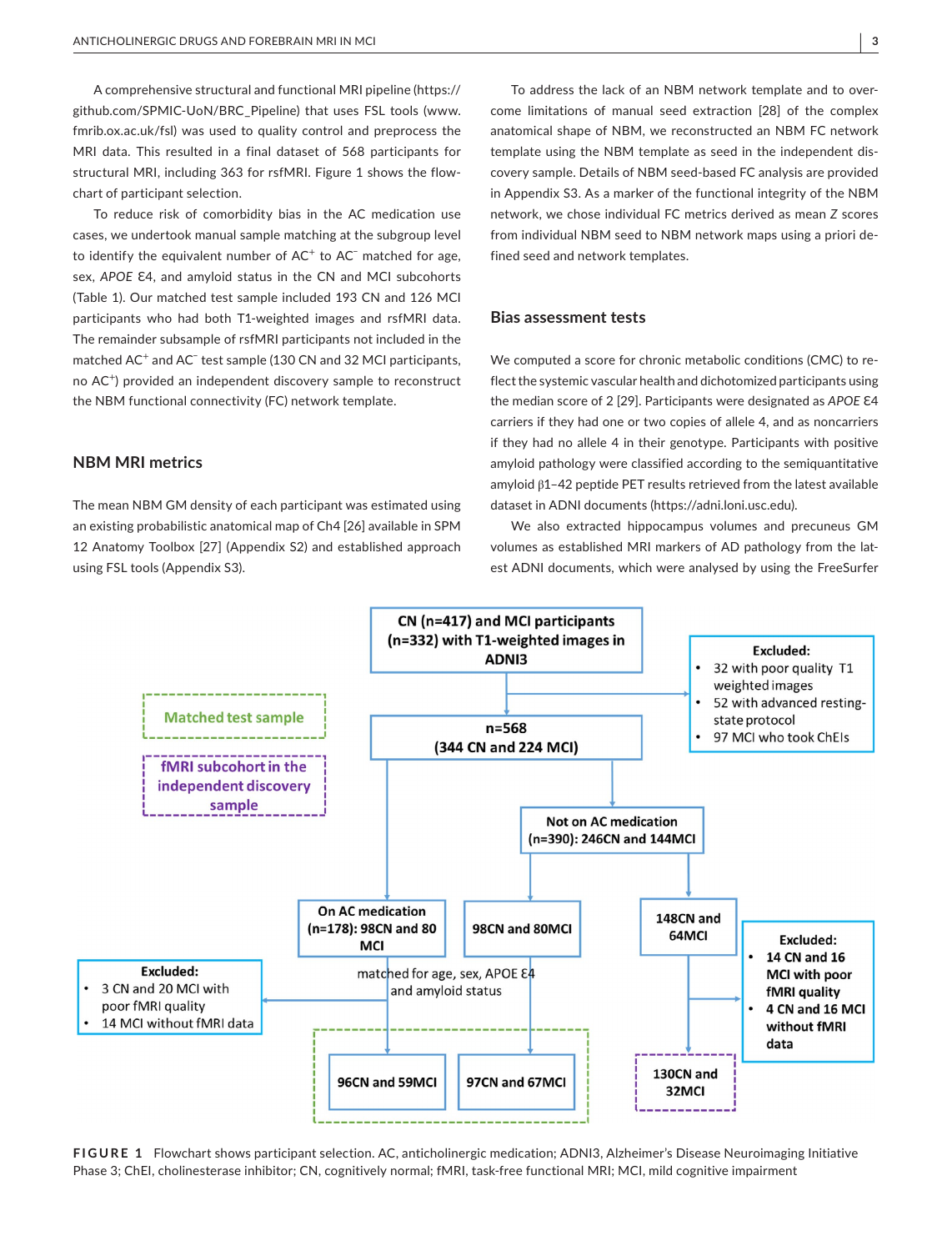A comprehensive structural and functional MRI pipeline ([https://](https://github.com/SPMIC-UoN/BRC_Pipeline) [github.com/SPMIC-UoN/BRC\\_Pipeline\)](https://github.com/SPMIC-UoN/BRC_Pipeline) that uses FSL tools [\(www.](http://www.fmrib.ox.ac.uk/fsl) [fmrib.ox.ac.uk/fsl\)](http://www.fmrib.ox.ac.uk/fsl) was used to quality control and preprocess the MRI data. This resulted in a final dataset of 568 participants for structural MRI, including 363 for rsfMRI. Figure 1 shows the flowchart of participant selection.

To reduce risk of comorbidity bias in the AC medication use cases, we undertook manual sample matching at the subgroup level to identify the equivalent number of AC<sup>+</sup> to AC<sup>−</sup> matched for age, sex, APOE E4, and amyloid status in the CN and MCI subcohorts (Table 1). Our matched test sample included 193 CN and 126 MCI participants who had both T1-weighted images and rsfMRI data. The remainder subsample of rsfMRI participants not included in the matched AC<sup>+</sup> and AC<sup>−</sup> test sample (130 CN and 32 MCI participants, no AC<sup>+</sup>) provided an independent discovery sample to reconstruct the NBM functional connectivity (FC) network template.

**NBM MRI metrics**

The mean NBM GM density of each participant was estimated using an existing probabilistic anatomical map of Ch4 [26] available in SPM 12 Anatomy Toolbox [27] (Appendix S2) and established approach using FSL tools (Appendix S3).

To address the lack of an NBM network template and to overcome limitations of manual seed extraction [28] of the complex anatomical shape of NBM, we reconstructed an NBM FC network template using the NBM template as seed in the independent discovery sample. Details of NBM seed-based FC analysis are provided in Appendix S3. As a marker of the functional integrity of the NBM network, we chose individual FC metrics derived as mean *Z* scores from individual NBM seed to NBM network maps using a priori defined seed and network templates.

#### **Bias assessment tests**

We computed a score for chronic metabolic conditions (CMC) to reflect the systemic vascular health and dichotomized participants using the median score of 2 [29]. Participants were designated as APOE E4 carriers if they had one or two copies of allele 4, and as noncarriers if they had no allele 4 in their genotype. Participants with positive amyloid pathology were classified according to the semiquantitative amyloid β1–42 peptide PET results retrieved from the latest available dataset in ADNI documents [\(https://adni.loni.usc.edu](https://adni.loni.usc.edu)).

We also extracted hippocampus volumes and precuneus GM volumes as established MRI markers of AD pathology from the latest ADNI documents, which were analysed by using the FreeSurfer



**FIGURE 1** Flowchart shows participant selection. AC, anticholinergic medication; ADNI3, Alzheimer's Disease Neuroimaging Initiative Phase 3; ChEI, cholinesterase inhibitor; CN, cognitively normal; fMRI, task-free functional MRI; MCI, mild cognitive impairment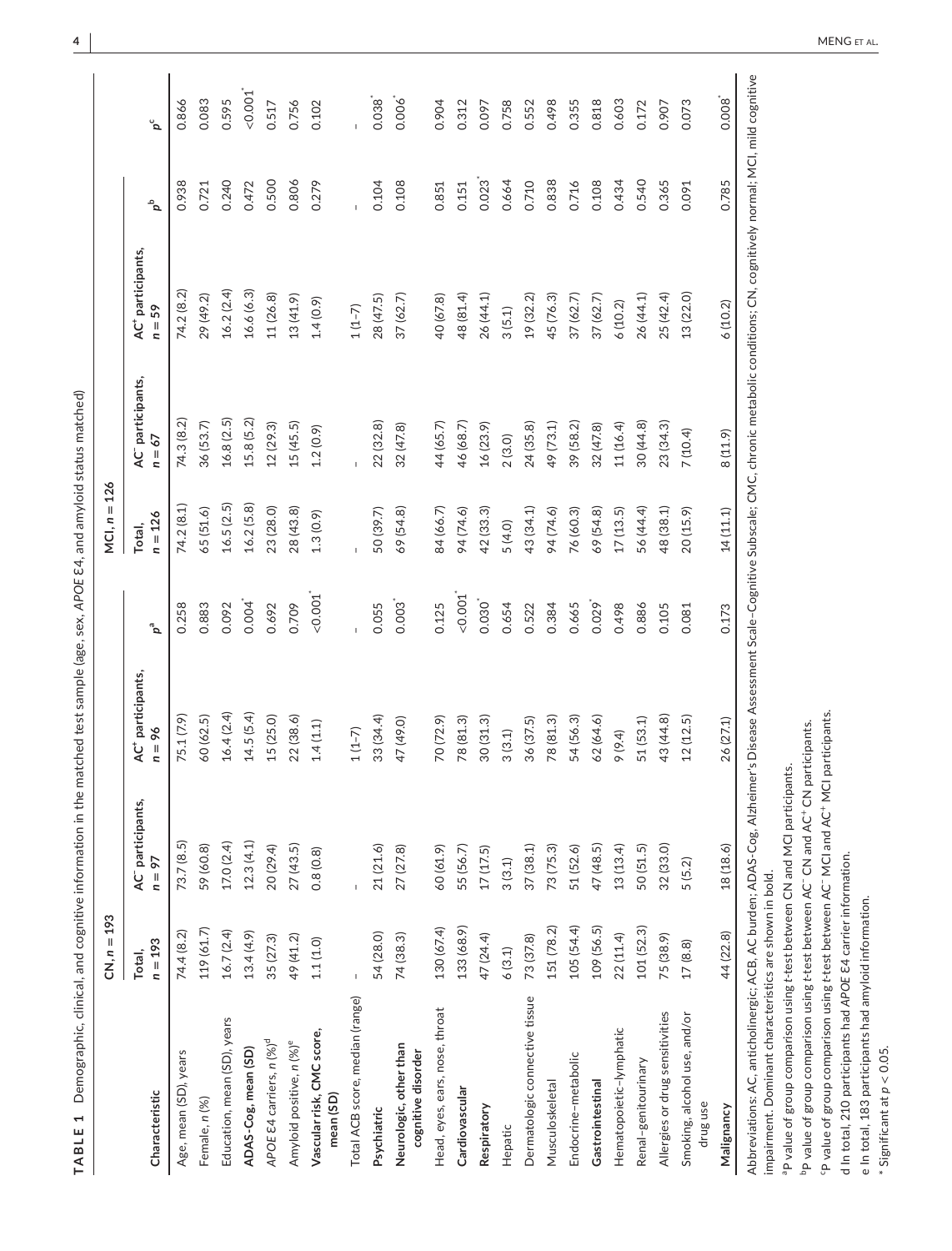|                                                                                                                                                                                                       | $CN, n = 193$       |                                           |                                           |                               | $MCI, n = 126$      |                                           |                                           |       |          |
|-------------------------------------------------------------------------------------------------------------------------------------------------------------------------------------------------------|---------------------|-------------------------------------------|-------------------------------------------|-------------------------------|---------------------|-------------------------------------------|-------------------------------------------|-------|----------|
| Characteristic                                                                                                                                                                                        | $n = 193$<br>Total, | AC <sup>-</sup> participants,<br>$n = 97$ | AC <sup>+</sup> participants,<br>$n = 96$ | $\mathfrak{a}^{\mathfrak{a}}$ | $n = 126$<br>Total, | AC <sup>-</sup> participants,<br>$n = 67$ | AC <sup>+</sup> participants,<br>$n = 59$ | مم    | ڻ<br>م   |
| Age, mean (SD), years                                                                                                                                                                                 | 74.4 (8.2)          | 73.7 (8.5)                                | 75.1 (7.9)                                | 0.258                         | 74.2(8.1)           | 74.3 (8.2)                                | 74.2 (8.2)                                | 0.938 | 0.866    |
| Female, n (%)                                                                                                                                                                                         | 119 (61.7)          | 59 (60.8)                                 | 60 (62.5)                                 | 0.883                         | 65(51.6)            | 36 (53.7)                                 | 29 (49.2)                                 | 0.721 | 0.083    |
| Education, mean (SD), years                                                                                                                                                                           | 16.7(2.4)           | 17.0 (2.4)                                | 16.4(2.4)                                 | 0.092                         | 16.5(2.5)           | 16.8 (2.5)                                | 16.2(2.4)                                 | 0.240 | 0.595    |
| ADAS-Cog, mean (SD)                                                                                                                                                                                   | 13.4(4.9)           | 12.3(4.1)                                 | 14.5(5.4)                                 | $0.004$ <sup>*</sup>          | 16.2(5.8)           | 15.8 (5.2)                                | 16.6(6.3)                                 | 0.472 | $-0.001$ |
| APOE E4 carriers, n (%) <sup>d</sup>                                                                                                                                                                  | 35 (27.3)           | 20 (29.4)                                 | 15(25.0)                                  | 0.692                         | 23 (28.0)           | 12 (29.3)                                 | 11 (26.8)                                 | 0.500 | 0.517    |
| Amyloid positive, n (%) <sup>e</sup>                                                                                                                                                                  | 49 (41.2)           | 27(43.5)                                  | 22(38.6)                                  | 0.709                         | 28(43.8)            | 15 (45.5)                                 | 13(41.9)                                  | 0.806 | 0.756    |
| Vascular risk, CMC score,<br>mean (SD)                                                                                                                                                                | 1.1(1.0)            | 0.8(0.8)                                  | 1.4(1.1)                                  | 0.001                         | 1.3(0.9)            | 1.2(0.9)                                  | 1.4(0.9)                                  | 0.279 | 0.102    |
| Total ACB score, median (range)                                                                                                                                                                       |                     |                                           | $1(1-7)$                                  |                               |                     |                                           | $1(1-7)$                                  |       |          |
| Psychiatric                                                                                                                                                                                           | 54 (28.0)           | 21(21.6)                                  | 33 (34.4)                                 | 0.055                         | 50 (39.7)           | 22 (32.8)                                 | 28 (47.5)                                 | 0.104 | 0.038    |
| Neurologic, other than<br>cognitive disorder                                                                                                                                                          | 74 (38.3)           | 27 (27.8)                                 | 47 (49.0)                                 | 0.003                         | 69 (54.8)           | 32 (47.8)                                 | 37 (62.7)                                 | 0.108 | 0.006    |
| Head, eyes, ears, nose, throat                                                                                                                                                                        | 130 (67.4)          | 60 (61.9)                                 | 70 (72.9)                                 | 0.125                         | 34 (66.7)           | 44 (65.7)                                 | 40 (67.8)                                 | 0.851 | 0.904    |
| Cardiovascular                                                                                                                                                                                        | 133 (68.9)          | 55 (56.7)                                 | 78 (81.3)                                 | 0.001                         | 94 (74.6)           | 46 (68.7)                                 | 48 (81.4)                                 | 0.151 | 0.312    |
| Respiratory                                                                                                                                                                                           | 47 (24.4)           | 17(17.5)                                  | 30(31.3)                                  | 0.030                         | 42 (33.3)           | 16 (23.9)                                 | 26 (44.1)                                 | 0.023 | 0.097    |
| Hepatic                                                                                                                                                                                               | 6(3.1)              | 3(3.1)                                    | 3(3.1)                                    | 0.654                         | 5(4.0)              | 2(3.0)                                    | 3(5.1)                                    | 0.664 | 0.758    |
| Dermatologic connective tissue                                                                                                                                                                        | 73 (37.8)           | 37 (38.1)                                 | 36 (37.5)                                 | 0.522                         | 43 (34.1)           | 24(35.8)                                  | 19 (32.2)                                 | 0.710 | 0.552    |
| Musculoskeletal                                                                                                                                                                                       | 151 (78.2)          | 73 (75.3)                                 | 78 (81.3)                                 | 0.384                         | 94 (74.6)           | 49 (73.1)                                 | 45 (76.3)                                 | 0.838 | 0.498    |
| Endocrine-metabolic                                                                                                                                                                                   | 105 (54.4)          | 51 (52.6)                                 | 54 (56.3)                                 | 0.665                         | 76 (60.3)           | 39 (58.2)                                 | 37 (62.7)                                 | 0.716 | 0.355    |
| Gastrointestinal                                                                                                                                                                                      | 109 (56.5)          | 47 (48.5)                                 | 62 (64.6)                                 | $0.029$ <sup>*</sup>          | 69 (54.8)           | 32 (47.8)                                 | 37 (62.7)                                 | 0.108 | 0.818    |
| Hematopoietic-lymphatic                                                                                                                                                                               | 22 (11.4)           | 13(13.4)                                  | 9 (9.4)                                   | 0.498                         | 17(13.5)            | 11 (16.4)                                 | 6(10.2)                                   | 0.434 | 0.603    |
| Renal-genitourinary                                                                                                                                                                                   | 101 (52.3)          | 50(51.5)                                  | 51 (53.1)                                 | 0.886                         | 56 (44.4)           | 30 (44.8)                                 | 26 (44.1)                                 | 0.540 | 0.172    |
| Allergies or drug sensitivities                                                                                                                                                                       | 75 (38.9)           | 32 (33.0)                                 | 43 (44.8)                                 | 0.105                         | 48 (38.1)           | 23 (34.3)                                 | 25 (42.4)                                 | 0.365 | 0.907    |
| Smoking, alcohol use, and/or<br>drug use                                                                                                                                                              | 17(8.8)             | 5(5.2)                                    | 12(12.5)                                  | 0.081                         | 20 (15.9)           | 7(10.4)                                   | 13 (22.0)                                 | 0.091 | 0.073    |
| Malignancy                                                                                                                                                                                            | 44 (22.8)           | 18 (18.6)                                 | 26 (27.1)                                 | 0.173                         | 14(11.1)            | 8(11.9)                                   | 6(10.2)                                   | 0.785 | 0.008    |
| Abbreviations: AC, anticholinergic; ACB, AC burden; ADAS-Cog, Alzheimer's Disease Assessment Scale-Cognitive Subscale; CMC, chronic metabolic conditions; CN, cognitively normal; MCI, mild cognitive |                     |                                           |                                           |                               |                     |                                           |                                           |       |          |

TABLE 1 Demographic, clinical, and cognitive information in the matched test sample (age, sex, APOE E4, and amyloid status matched) **TABLE 1** Demographic, clinical, and cognitive information in the matched test sample (age, sex, *APOE* Ɛ4, and amyloid status matched)

impairment. Dominant characteristics are shown in bold. impairment. Dominant characteristics are shown in bold.  $\overline{4}$ 

<sup>a</sup>P value of group comparison using t-test between CN and MCI participants. aP value of group comparison using *t*-test between CN and MCI participants.

<sup>b</sup>P value of group comparison using t-test between AC<sup>-</sup> CN and AC<sup>+</sup> CN participants. bP value of group comparison using *t*-test between AC− CN and AC+ CN participants.

"P value of group comparison using t-test between AC" MCI and AC\* MCI participants. cP value of group comparison using *t*-test between AC− MCI and AC+ MCI participants.

d In total, 210 participants had APOE E4 carrier information. d In total, 210 participants had *APOE* Ɛ4 carrier information.

e In total, 183 participants had amyloid information. e In total, 183 participants had amyloid information.

\* Significant at  $p < 0.05$ . \* Significant at *p* < 0.05.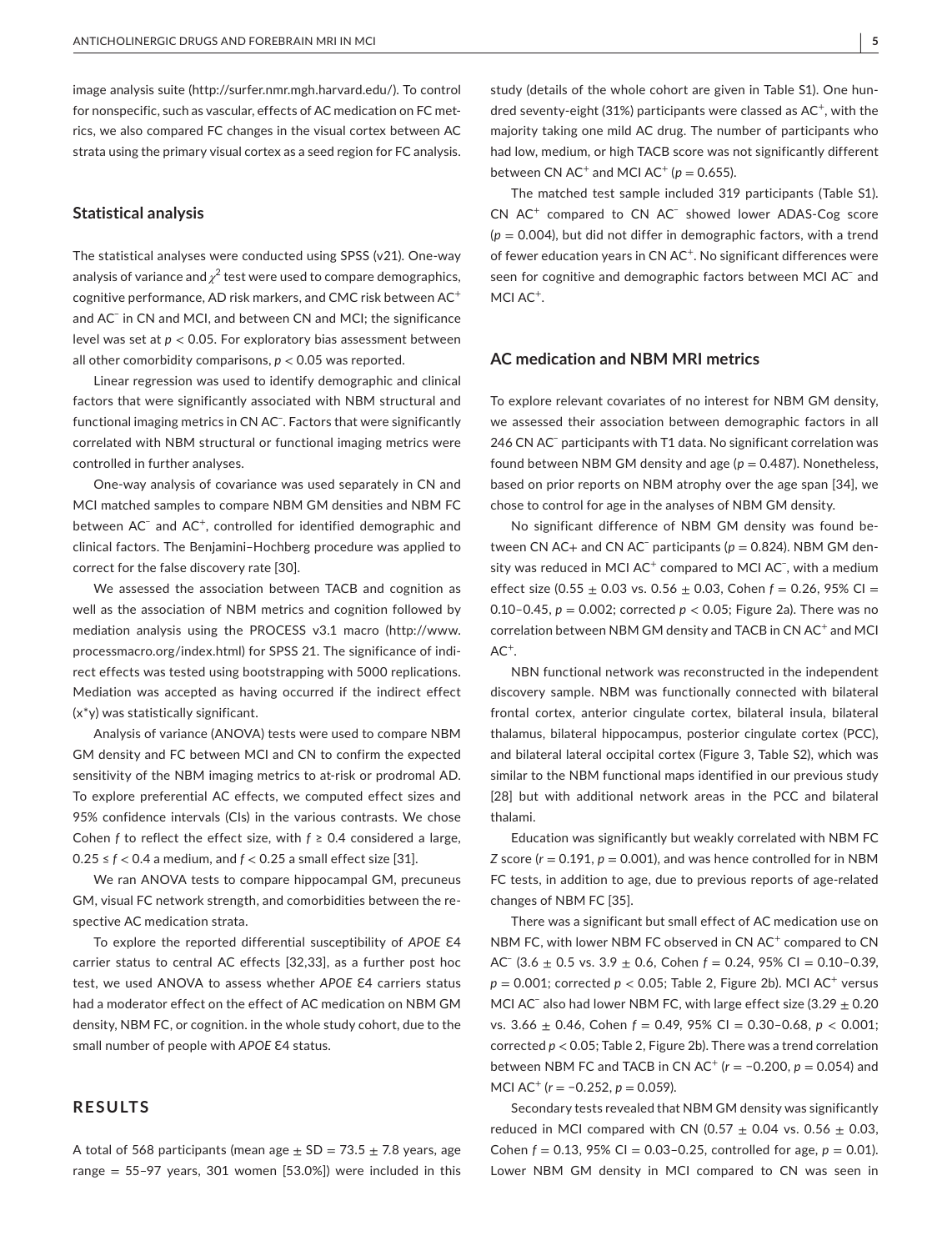image analysis suite [\(http://surfer.nmr.mgh.harvard.edu/\)](http://surfer.nmr.mgh.harvard.edu/). To control for nonspecific, such as vascular, effects of AC medication on FC metrics, we also compared FC changes in the visual cortex between AC strata using the primary visual cortex as a seed region for FC analysis.

## **Statistical analysis**

The statistical analyses were conducted using SPSS (v21). One-way analysis of variance and  $\chi^2$  test were used to compare demographics, cognitive performance, AD risk markers, and CMC risk between AC<sup>+</sup> and AC− in CN and MCI, and between CN and MCI; the significance level was set at *p* < 0.05. For exploratory bias assessment between all other comorbidity comparisons,  $p < 0.05$  was reported.

Linear regression was used to identify demographic and clinical factors that were significantly associated with NBM structural and functional imaging metrics in CN AC<sup>−</sup>. Factors that were significantly correlated with NBM structural or functional imaging metrics were controlled in further analyses.

One-way analysis of covariance was used separately in CN and MCI matched samples to compare NBM GM densities and NBM FC between AC<sup>-</sup> and AC<sup>+</sup>, controlled for identified demographic and clinical factors. The Benjamini–Hochberg procedure was applied to correct for the false discovery rate [30].

We assessed the association between TACB and cognition as well as the association of NBM metrics and cognition followed by mediation analysis using the PROCESS v3.1 macro ([http://www.](http://www.processmacro.org/index.html) [processmacro.org/index.html](http://www.processmacro.org/index.html)) for SPSS 21. The significance of indirect effects was tested using bootstrapping with 5000 replications. Mediation was accepted as having occurred if the indirect effect (x\*y) was statistically significant.

Analysis of variance (ANOVA) tests were used to compare NBM GM density and FC between MCI and CN to confirm the expected sensitivity of the NBM imaging metrics to at-risk or prodromal AD. To explore preferential AC effects, we computed effect sizes and 95% confidence intervals (CIs) in the various contrasts. We chose Cohen *f* to reflect the effect size, with  $f \ge 0.4$  considered a large, 0.25 ≤ *f* < 0.4 a medium, and *f* < 0.25 a small effect size [31].

We ran ANOVA tests to compare hippocampal GM, precuneus GM, visual FC network strength, and comorbidities between the respective AC medication strata.

To explore the reported differential susceptibility of APOE  $E4$ carrier status to central AC effects [32,33], as a further post hoc test, we used ANOVA to assess whether APOE E4 carriers status had a moderator effect on the effect of AC medication on NBM GM density, NBM FC, or cognition. in the whole study cohort, due to the small number of people with *APOE* E4 status.

# **RESULTS**

A total of 568 participants (mean age  $\pm$  SD = 73.5  $\pm$  7.8 years, age range =  $55-97$  years, 301 women [53.0%]) were included in this study (details of the whole cohort are given in Table S1). One hundred seventy-eight (31%) participants were classed as  $AC^+$ , with the majority taking one mild AC drug. The number of participants who had low, medium, or high TACB score was not significantly different between CN AC<sup>+</sup> and MCI AC<sup>+</sup> ( $p = 0.655$ ).

The matched test sample included 319 participants (Table S1). CN AC<sup>+</sup> compared to CN AC<sup>-</sup> showed lower ADAS-Cog score (*p* = 0.004), but did not differ in demographic factors, with a trend of fewer education years in CN AC<sup>+</sup>. No significant differences were seen for cognitive and demographic factors between MCI AC<sup>-</sup> and MCI AC<sup>+</sup>.

#### **AC medication and NBM MRI metrics**

To explore relevant covariates of no interest for NBM GM density, we assessed their association between demographic factors in all 246 CN AC<sup>-</sup> participants with T1 data. No significant correlation was found between NBM GM density and age ( $p = 0.487$ ). Nonetheless, based on prior reports on NBM atrophy over the age span [34], we chose to control for age in the analyses of NBM GM density.

No significant difference of NBM GM density was found between CN AC+ and CN AC<sup>-</sup> participants (*p* = 0.824). NBM GM density was reduced in MCI AC<sup>+</sup> compared to MCI AC<sup>-</sup>, with a medium effect size (0.55  $\pm$  0.03 vs. 0.56  $\pm$  0.03, Cohen  $f = 0.26$ , 95% CI = 0.10–0.45, *p* = 0.002; corrected *p* < 0.05; Figure 2a). There was no correlation between NBM GM density and TACB in CN AC<sup>+</sup> and MCI  $AC^+$ 

NBN functional network was reconstructed in the independent discovery sample. NBM was functionally connected with bilateral frontal cortex, anterior cingulate cortex, bilateral insula, bilateral thalamus, bilateral hippocampus, posterior cingulate cortex (PCC), and bilateral lateral occipital cortex (Figure 3, Table S2), which was similar to the NBM functional maps identified in our previous study [28] but with additional network areas in the PCC and bilateral thalami.

Education was significantly but weakly correlated with NBM FC *Z* score ( $r = 0.191$ ,  $p = 0.001$ ), and was hence controlled for in NBM FC tests, in addition to age, due to previous reports of age-related changes of NBM FC [35].

There was a significant but small effect of AC medication use on NBM FC, with lower NBM FC observed in CN AC<sup>+</sup> compared to CN AC− (3.6 ± 0.5 vs. 3.9 ± 0.6, Cohen *f* = 0.24, 95% CI = 0.10–0.39,  $p = 0.001$ ; corrected  $p < 0.05$ ; Table 2, Figure 2b). MCI AC<sup>+</sup> versus MCI AC<sup>−</sup> also had lower NBM FC, with large effect size (3.29 ± 0.20 vs. 3.66 ± 0.46, Cohen *f* = 0.49, 95% CI = 0.30–0.68, *p* < 0.001; corrected *p* < 0.05; Table 2, Figure 2b). There was a trend correlation between NBM FC and TACB in CN AC+ (*r* = −0.200, *p* = 0.054) and MCI AC<sup>+</sup> ( $r = -0.252$ ,  $p = 0.059$ ).

Secondary tests revealed that NBM GM density was significantly reduced in MCI compared with CN (0.57  $\pm$  0.04 vs. 0.56  $\pm$  0.03, Cohen  $f = 0.13$ , 95% CI = 0.03-0.25, controlled for age,  $p = 0.01$ ). Lower NBM GM density in MCI compared to CN was seen in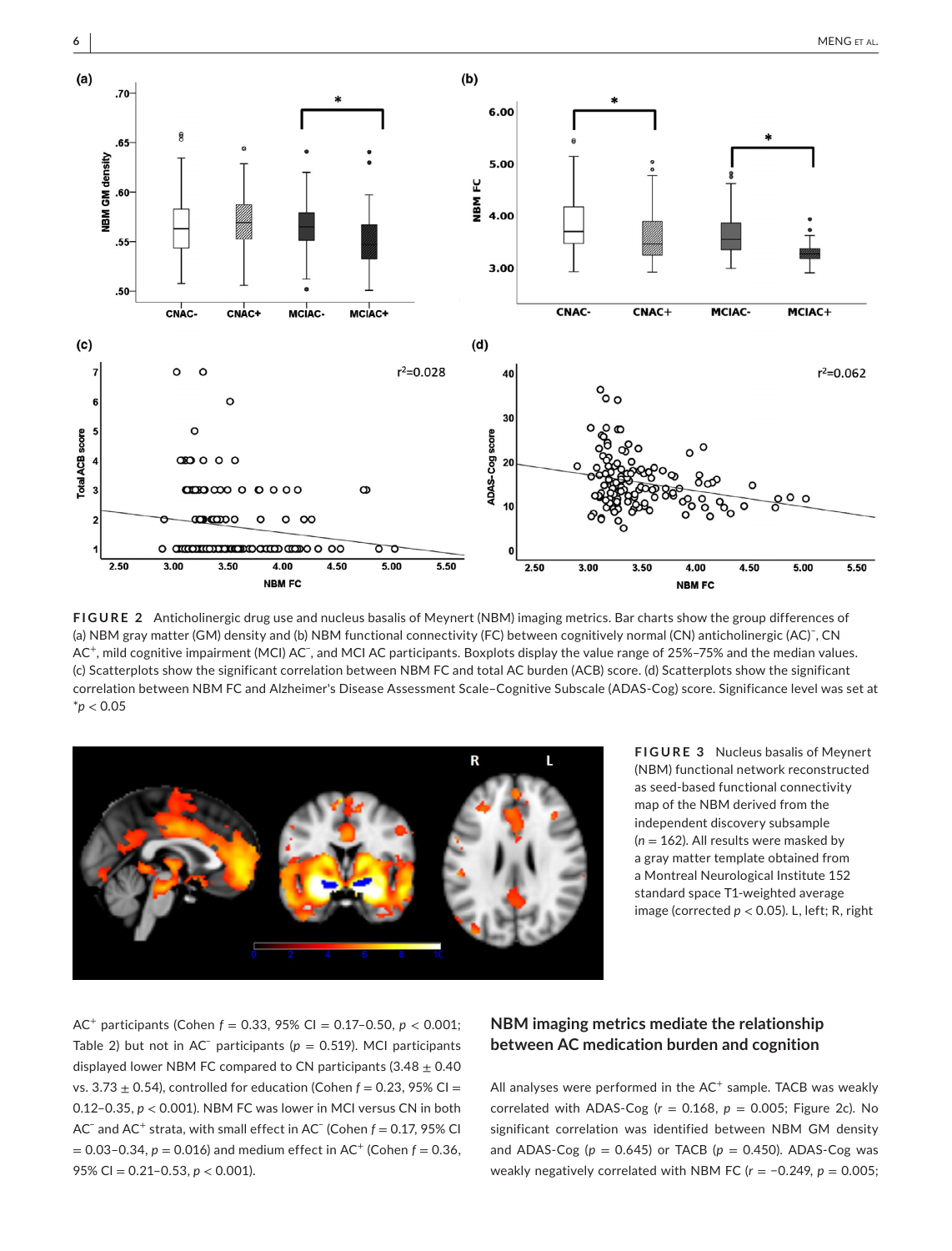



**FIGURE 2** Anticholinergic drug use and nucleus basalis of Meynert (NBM) imaging metrics. Bar charts show the group differences of (a) NBM gray matter (GM) density and (b) NBM functional connectivity (FC) between cognitively normal (CN) anticholinergic (AC)<sup>−</sup> , CN AC<sup>+</sup>, mild cognitive impairment (MCI) AC<sup>−</sup>, and MCI AC participants. Boxplots display the value range of 25%–75% and the median values. (c) Scatterplots show the significant correlation between NBM FC and total AC burden (ACB) score. (d) Scatterplots show the significant correlation between NBM FC and Alzheimer's Disease Assessment Scale–Cognitive Subscale (ADAS-Cog) score. Significance level was set at \**p* < 0.05



**FIGURE 3** Nucleus basalis of Meynert (NBM) functional network reconstructed as seed-based functional connectivity map of the NBM derived from the independent discovery subsample (*n* = 162). All results were masked by a gray matter template obtained from a Montreal Neurological Institute 152 standard space T1-weighted average image (corrected *p* < 0.05). L, left; R, right

AC<sup>+</sup> participants (Cohen *f* = 0.33, 95% CI = 0.17–0.50, *p* < 0.001; Table 2) but not in AC<sup>-</sup> participants ( $p = 0.519$ ). MCI participants displayed lower NBM FC compared to CN participants (3.48  $\pm$  0.40 vs. 3.73  $\pm$  0.54), controlled for education (Cohen  $f = 0.23$ , 95% CI = 0.12–0.35, *p* < 0.001). NBM FC was lower in MCI versus CN in both AC− and AC<sup>+</sup> strata, with small effect in AC− (Cohen *f* = 0.17, 95% CI  $= 0.03 - 0.34$ ,  $p = 0.016$ ) and medium effect in AC<sup>+</sup> (Cohen  $f = 0.36$ , 95% CI = 0.21–0.53, *p* < 0.001).

# **NBM imaging metrics mediate the relationship between AC medication burden and cognition**

All analyses were performed in the  $AC<sup>+</sup>$  sample. TACB was weakly correlated with ADAS-Cog  $(r = 0.168, p = 0.005;$  Figure 2c). No significant correlation was identified between NBM GM density and ADAS-Cog  $(p = 0.645)$  or TACB  $(p = 0.450)$ . ADAS-Cog was weakly negatively correlated with NBM FC (*r* = −0.249, *p* = 0.005;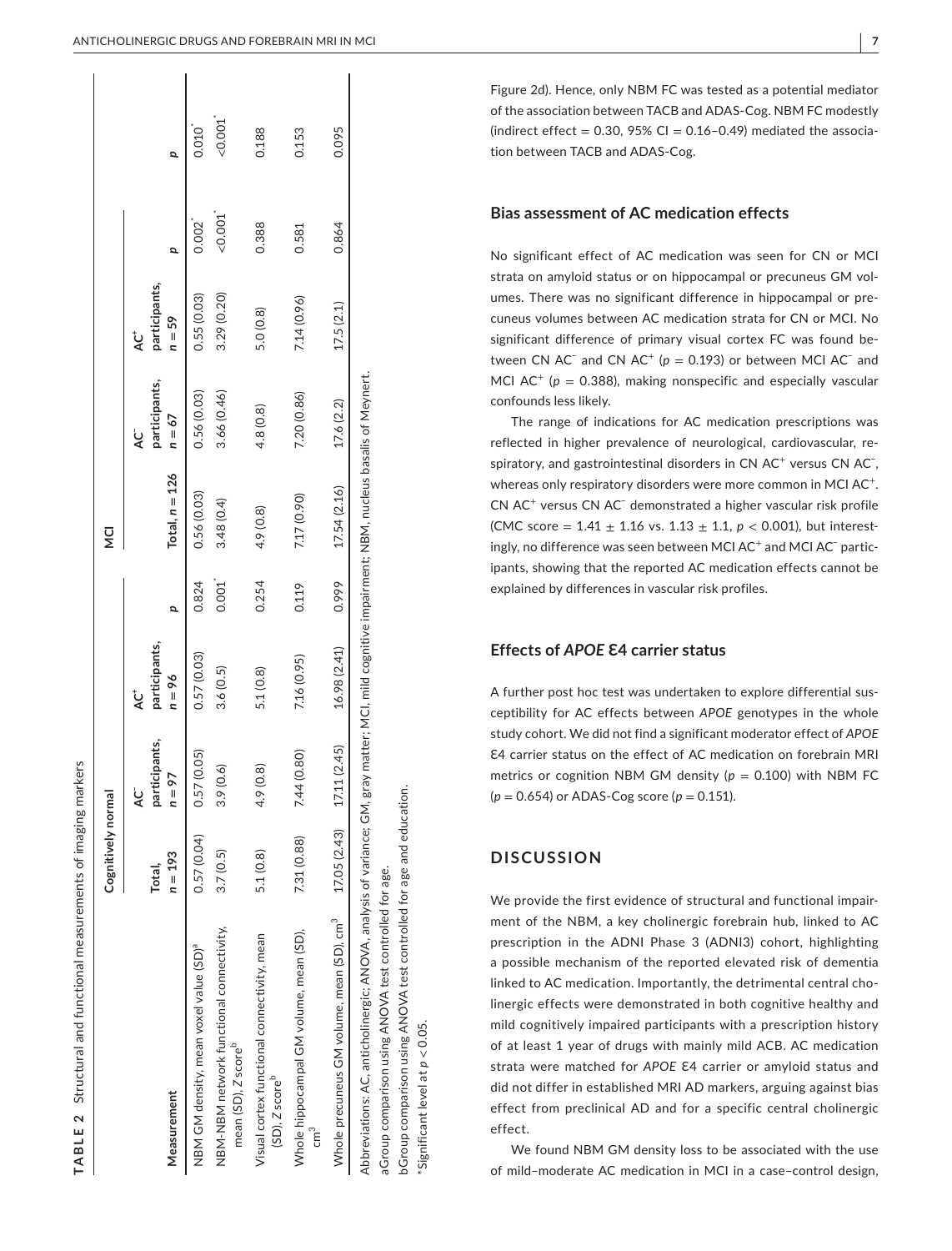|                                                                                 | Cognitively normal  |                                    |                                      |       | ι<br>Σ           |                                     |                                      |         |             |
|---------------------------------------------------------------------------------|---------------------|------------------------------------|--------------------------------------|-------|------------------|-------------------------------------|--------------------------------------|---------|-------------|
| Measurement                                                                     | $n = 193$<br>Total, | participants,<br>$n = 9$<br>ن<br>ج | participants,<br>$n = 96$<br>ن<br>لا |       | Total, $n = 126$ | participants,<br>$n = 67$<br>ن<br>ح | participants,<br>$n = 59$<br>ن<br>لا |         |             |
| NBM GM density, mean voxel value (SD) <sup>a</sup>                              | 0.57(0.04)          | 0.57(0.05)                         | 0.57(0.03)                           | 0.824 | 0.56(0.03)       | 0.56(0.03)                          | 0.55(0.03)                           | 0.002   | $0.010^{4}$ |
| NBM-NBM network functional connectivity,<br>mean (SD), Z score <sup>p</sup>     | 3.7(0.5)            | 3.9(0.6)                           | 3.6(0.5)                             | 0.001 | 3.48 (0.4)       | 3.66(0.46)                          | 3.29 (0.20)                          | < 0.001 | 0.001       |
| Visual cortex functional connectivity, mean<br>(SD), Z score <sup>b</sup>       | 5.1(0.8)            | කු<br>4.9(0.                       | 5.1(0.8)                             | 0.254 | 4.9(0.8)         | 4.8(0.8)                            | 5.0(0.8)                             | 0.388   | 0.188       |
| Whole hippocampal GM volume, mean (SD),<br>ัตา                                  | 7.31 (0.88)         | (0.80)<br>7.44                     | 7.16 (0.95)                          | 0.119 | 7.17 (0.90)      | 7.20(0.86)                          | 7.14 (0.96)                          | 0.581   | 0.153       |
| Whole precuneus GM volume, mean (SD), cm <sup>3</sup> 17.05 (2.43) 17.11 (2.45) |                     |                                    | 16.98 (2.41)                         | 0.999 | 17.54 (2.16)     | 17.6 (2.2)                          | 17.5(2.1)                            | 0.864   | 0.095       |

 $\sim$ 쁰 TABL

aGroup comparison using ANOVA test controlled for age. aGroup comparison using ANOVA test controlled for age. Abbreviations: A

bGroup comparison using ANOVA test controlled for age and education. bGroup comparison using ANOVA test controlled for age and education.

\*Significant level at *p* < 0.05.Significant level at  $p < 0.05$ 

Figure 2d). Hence, only NBM FC was tested as a potential mediator of the association between TACB and ADAS-Cog. NBM FC modestly (indirect effect  $= 0.30, 95\%$  CI  $= 0.16 - 0.49$ ) mediated the association between TACB and ADAS-Cog.

## **Bias assessment of AC medication effects**

No significant effect of AC medication was seen for CN or MCI strata on amyloid status or on hippocampal or precuneus GM vol umes. There was no significant difference in hippocampal or pre cuneus volumes between AC medication strata for CN or MCI. No significant difference of primary visual cortex FC was found be tween CN  $AC^-$  and CN  $AC^+$  ( $p = 0.193$ ) or between MCI  $AC^-$  and MCI  $AC^+$  ( $p = 0.388$ ), making nonspecific and especially vascular confounds less likely.

The range of indications for AC medication prescriptions was reflected in higher prevalence of neurological, cardiovascular, re spiratory, and gastrointestinal disorders in CN AC<sup>+</sup> versus CN AC<sup>-</sup>, whereas only respiratory disorders were more common in MCI AC<sup>+</sup>. CN AC<sup>+</sup> versus CN AC<sup>-</sup> demonstrated a higher vascular risk profile (CMC score =  $1.41 \pm 1.16$  vs.  $1.13 \pm 1.1$ ,  $p < 0.001$ ), but interestingly, no difference was seen between MCI AC<sup>+</sup> and MCI AC<sup>-</sup> participants, showing that the reported AC medication effects cannot be explained by differences in vascular risk profiles.

# **Effects of** *APOE* **Ɛ4 carrier status**

A further post hoc test was undertaken to explore differential sus ceptibility for AC effects between *APOE* genotypes in the whole study cohort. We did not find a significant moderator effect of *APOE* Ɛ4 carrier status on the effect of AC medication on forebrain MRI metrics or cognition NBM GM density ( $p = 0.100$ ) with NBM FC ( *p* = 0.654) or ADAS-Cog score ( *p* = 0.151).

# **DISCUSSION**

We provide the first evidence of structural and functional impair ment of the NBM, a key cholinergic forebrain hub, linked to AC prescription in the ADNI Phase 3 (ADNI3) cohort, highlighting a possible mechanism of the reported elevated risk of dementia linked to AC medication. Importantly, the detrimental central cho linergic effects were demonstrated in both cognitive healthy and mild cognitively impaired participants with a prescription history of at least 1 year of drugs with mainly mild ACB. AC medication strata were matched for APOE E4 carrier or amyloid status and did not differ in established MRI AD markers, arguing against bias effect from preclinical AD and for a specific central cholinergic effect.

We found NBM GM density loss to be associated with the use of mild–moderate AC medication in MCI in a case–control design,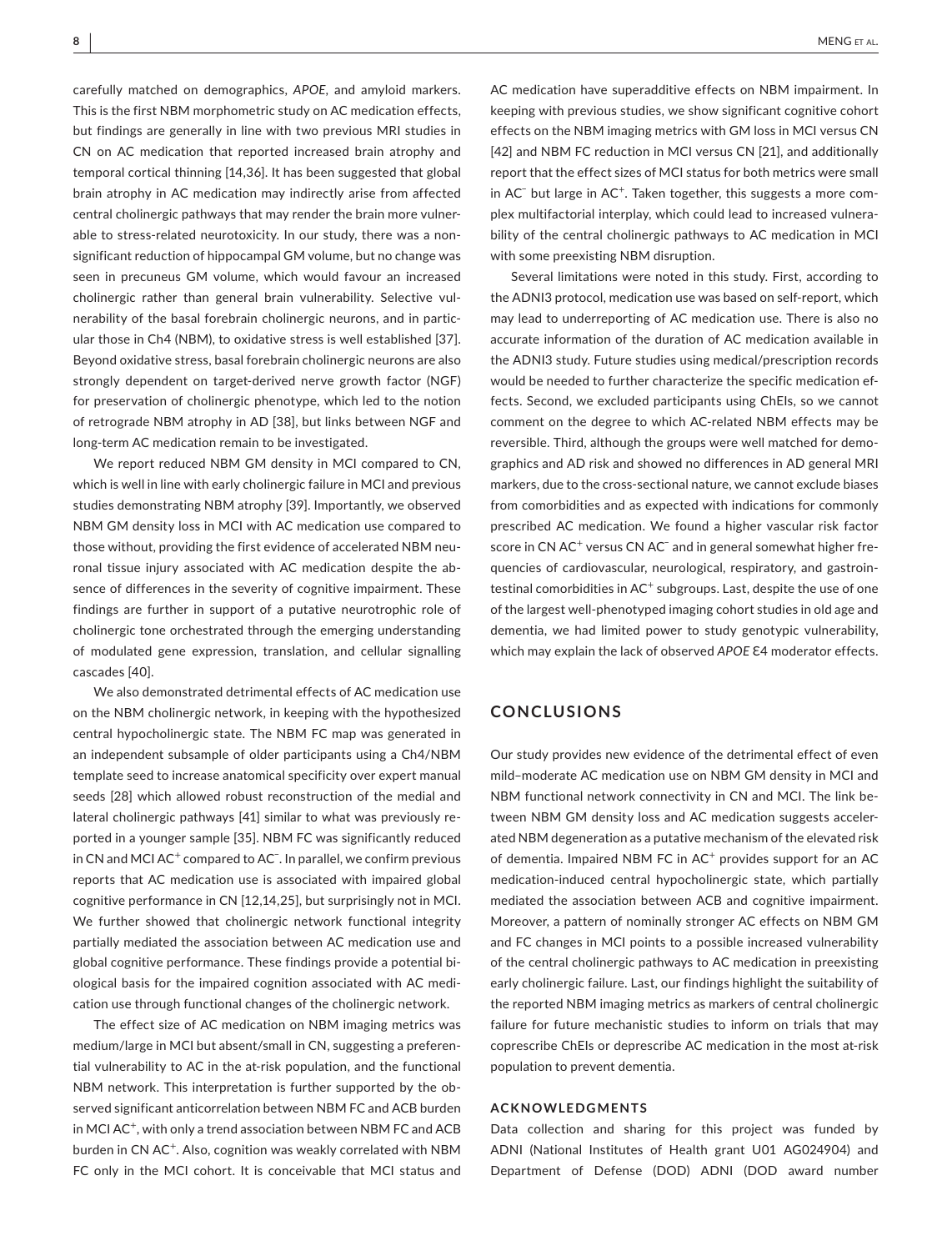carefully matched on demographics, *APOE*, and amyloid markers. This is the first NBM morphometric study on AC medication effects, but findings are generally in line with two previous MRI studies in CN on AC medication that reported increased brain atrophy and temporal cortical thinning [14,36]. It has been suggested that global brain atrophy in AC medication may indirectly arise from affected central cholinergic pathways that may render the brain more vulnerable to stress-related neurotoxicity. In our study, there was a nonsignificant reduction of hippocampal GM volume, but no change was seen in precuneus GM volume, which would favour an increased cholinergic rather than general brain vulnerability. Selective vulnerability of the basal forebrain cholinergic neurons, and in particular those in Ch4 (NBM), to oxidative stress is well established [37]. Beyond oxidative stress, basal forebrain cholinergic neurons are also strongly dependent on target-derived nerve growth factor (NGF) for preservation of cholinergic phenotype, which led to the notion of retrograde NBM atrophy in AD [38], but links between NGF and long-term AC medication remain to be investigated.

We report reduced NBM GM density in MCI compared to CN, which is well in line with early cholinergic failure in MCI and previous studies demonstrating NBM atrophy [39]. Importantly, we observed NBM GM density loss in MCI with AC medication use compared to those without, providing the first evidence of accelerated NBM neuronal tissue injury associated with AC medication despite the absence of differences in the severity of cognitive impairment. These findings are further in support of a putative neurotrophic role of cholinergic tone orchestrated through the emerging understanding of modulated gene expression, translation, and cellular signalling cascades [40].

We also demonstrated detrimental effects of AC medication use on the NBM cholinergic network, in keeping with the hypothesized central hypocholinergic state. The NBM FC map was generated in an independent subsample of older participants using a Ch4/NBM template seed to increase anatomical specificity over expert manual seeds [28] which allowed robust reconstruction of the medial and lateral cholinergic pathways [41] similar to what was previously reported in a younger sample [35]. NBM FC was significantly reduced in CN and MCI AC<sup>+</sup> compared to AC<sup>-</sup>. In parallel, we confirm previous reports that AC medication use is associated with impaired global cognitive performance in CN [12,14,25], but surprisingly not in MCI. We further showed that cholinergic network functional integrity partially mediated the association between AC medication use and global cognitive performance. These findings provide a potential biological basis for the impaired cognition associated with AC medication use through functional changes of the cholinergic network.

The effect size of AC medication on NBM imaging metrics was medium/large in MCI but absent/small in CN, suggesting a preferential vulnerability to AC in the at-risk population, and the functional NBM network. This interpretation is further supported by the observed significant anticorrelation between NBM FC and ACB burden in MCI AC<sup>+</sup>, with only a trend association between NBM FC and ACB burden in CN AC<sup>+</sup>. Also, cognition was weakly correlated with NBM FC only in the MCI cohort. It is conceivable that MCI status and

AC medication have superadditive effects on NBM impairment. In keeping with previous studies, we show significant cognitive cohort effects on the NBM imaging metrics with GM loss in MCI versus CN [42] and NBM FC reduction in MCI versus CN [21], and additionally report that the effect sizes of MCI status for both metrics were small in AC<sup>-</sup> but large in AC<sup>+</sup>. Taken together, this suggests a more complex multifactorial interplay, which could lead to increased vulnerability of the central cholinergic pathways to AC medication in MCI with some preexisting NBM disruption.

Several limitations were noted in this study. First, according to the ADNI3 protocol, medication use was based on self-report, which may lead to underreporting of AC medication use. There is also no accurate information of the duration of AC medication available in the ADNI3 study. Future studies using medical/prescription records would be needed to further characterize the specific medication effects. Second, we excluded participants using ChEIs, so we cannot comment on the degree to which AC-related NBM effects may be reversible. Third, although the groups were well matched for demographics and AD risk and showed no differences in AD general MRI markers, due to the cross-sectional nature, we cannot exclude biases from comorbidities and as expected with indications for commonly prescribed AC medication. We found a higher vascular risk factor score in CN AC<sup>+</sup> versus CN AC<sup>-</sup> and in general somewhat higher frequencies of cardiovascular, neurological, respiratory, and gastrointestinal comorbidities in  $AC^+$  subgroups. Last, despite the use of one of the largest well-phenotyped imaging cohort studies in old age and dementia, we had limited power to study genotypic vulnerability, which may explain the lack of observed *APOE* ε4 moderator effects.

# **CONCLUSIONS**

Our study provides new evidence of the detrimental effect of even mild–moderate AC medication use on NBM GM density in MCI and NBM functional network connectivity in CN and MCI. The link between NBM GM density loss and AC medication suggests accelerated NBM degeneration as a putative mechanism of the elevated risk of dementia. Impaired NBM FC in AC<sup>+</sup> provides support for an AC medication-induced central hypocholinergic state, which partially mediated the association between ACB and cognitive impairment. Moreover, a pattern of nominally stronger AC effects on NBM GM and FC changes in MCI points to a possible increased vulnerability of the central cholinergic pathways to AC medication in preexisting early cholinergic failure. Last, our findings highlight the suitability of the reported NBM imaging metrics as markers of central cholinergic failure for future mechanistic studies to inform on trials that may coprescribe ChEIs or deprescribe AC medication in the most at-risk population to prevent dementia.

#### **ACKNOWLEDGMENTS**

Data collection and sharing for this project was funded by ADNI (National Institutes of Health grant U01 AG024904) and Department of Defense (DOD) ADNI (DOD award number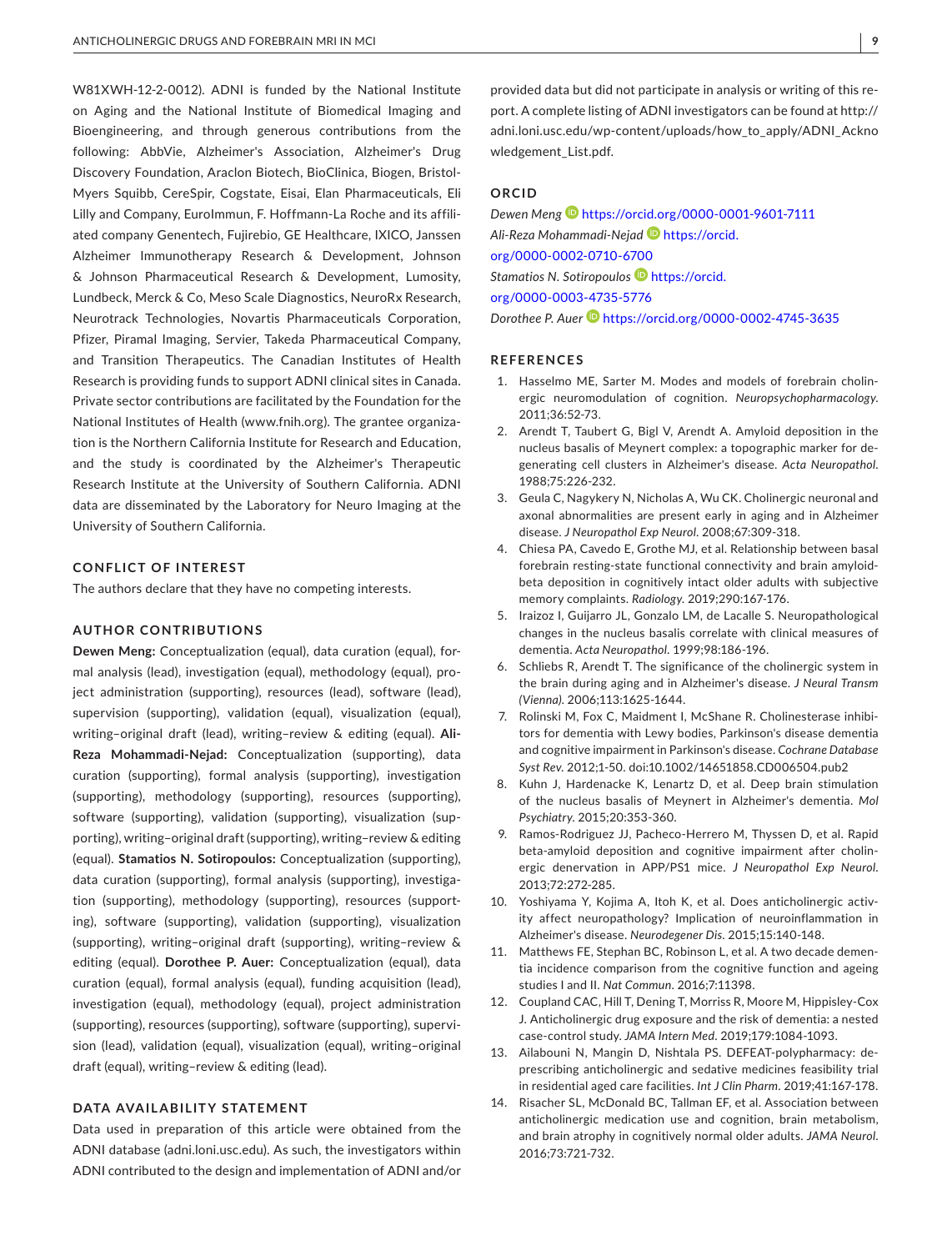W81XWH-12-2-0012). ADNI is funded by the National Institute on Aging and the National Institute of Biomedical Imaging and Bioengineering, and through generous contributions from the following: AbbVie, Alzheimer's Association, Alzheimer's Drug Discovery Foundation, Araclon Biotech, BioClinica, Biogen, Bristol-Myers Squibb, CereSpir, Cogstate, Eisai, Elan Pharmaceuticals, Eli Lilly and Company, EuroImmun, F. Hoffmann-La Roche and its affiliated company Genentech, Fujirebio, GE Healthcare, IXICO, Janssen Alzheimer Immunotherapy Research & Development, Johnson & Johnson Pharmaceutical Research & Development, Lumosity, Lundbeck, Merck & Co, Meso Scale Diagnostics, NeuroRx Research, Neurotrack Technologies, Novartis Pharmaceuticals Corporation, Pfizer, Piramal Imaging, Servier, Takeda Pharmaceutical Company, and Transition Therapeutics. The Canadian Institutes of Health Research is providing funds to support ADNI clinical sites in Canada. Private sector contributions are facilitated by the Foundation for the National Institutes of Health [\(www.fnih.org\)](http://www.fnih.org). The grantee organization is the Northern California Institute for Research and Education, and the study is coordinated by the Alzheimer's Therapeutic Research Institute at the University of Southern California. ADNI data are disseminated by the Laboratory for Neuro Imaging at the University of Southern California.

#### **CONFLICT OF INTEREST**

The authors declare that they have no competing interests.

#### **AUTHOR CONTRIBUTIONS**

**Dewen Meng:** Conceptualization (equal), data curation (equal), formal analysis (lead), investigation (equal), methodology (equal), project administration (supporting), resources (lead), software (lead), supervision (supporting), validation (equal), visualization (equal), writing–original draft (lead), writing–review & editing (equal). **Ali-Reza Mohammadi-Nejad:** Conceptualization (supporting), data curation (supporting), formal analysis (supporting), investigation (supporting), methodology (supporting), resources (supporting), software (supporting), validation (supporting), visualization (supporting), writing–original draft (supporting), writing–review & editing (equal). **Stamatios N. Sotiropoulos:** Conceptualization (supporting), data curation (supporting), formal analysis (supporting), investigation (supporting), methodology (supporting), resources (supporting), software (supporting), validation (supporting), visualization (supporting), writing–original draft (supporting), writing–review & editing (equal). **Dorothee P. Auer:** Conceptualization (equal), data curation (equal), formal analysis (equal), funding acquisition (lead), investigation (equal), methodology (equal), project administration (supporting), resources (supporting), software (supporting), supervision (lead), validation (equal), visualization (equal), writing–original draft (equal), writing–review & editing (lead).

#### **DATA AVAILABILITY STATEMENT**

Data used in preparation of this article were obtained from the ADNI database (adni.loni.usc.edu). As such, the investigators within ADNI contributed to the design and implementation of ADNI and/or

## **ORCID**

*Dewen Meng* <https://orcid.org/0000-0001-9601-7111> *Ali-Reza Mohammadi-Nejad* [https://orcid.](https://orcid.org/0000-0002-0710-6700) [org/0000-0002-0710-6700](https://orcid.org/0000-0002-0710-6700) *Stamatios N. Sotiropoulos* [https://orcid.](https://orcid.org/0000-0003-4735-5776) [org/0000-0003-4735-5776](https://orcid.org/0000-0003-4735-5776) *Dorothee P. Auer* <https://orcid.org/0000-0002-4745-3635>

**REFERENCES**

- 1. Hasselmo ME, Sarter M. Modes and models of forebrain cholinergic neuromodulation of cognition. *Neuropsychopharmacology*. 2011;36:52-73.
- 2. Arendt T, Taubert G, Bigl V, Arendt A. Amyloid deposition in the nucleus basalis of Meynert complex: a topographic marker for degenerating cell clusters in Alzheimer's disease. *Acta Neuropathol*. 1988;75:226-232.
- 3. Geula C, Nagykery N, Nicholas A, Wu CK. Cholinergic neuronal and axonal abnormalities are present early in aging and in Alzheimer disease. *J Neuropathol Exp Neurol*. 2008;67:309-318.
- 4. Chiesa PA, Cavedo E, Grothe MJ, et al. Relationship between basal forebrain resting-state functional connectivity and brain amyloidbeta deposition in cognitively intact older adults with subjective memory complaints. *Radiology*. 2019;290:167-176.
- 5. Iraizoz I, Guijarro JL, Gonzalo LM, de Lacalle S. Neuropathological changes in the nucleus basalis correlate with clinical measures of dementia. *Acta Neuropathol*. 1999;98:186-196.
- 6. Schliebs R, Arendt T. The significance of the cholinergic system in the brain during aging and in Alzheimer's disease. *J Neural Transm (Vienna)*. 2006;113:1625-1644.
- 7. Rolinski M, Fox C, Maidment I, McShane R. Cholinesterase inhibitors for dementia with Lewy bodies, Parkinson's disease dementia and cognitive impairment in Parkinson's disease. *Cochrane Database Syst Rev*. 2012;1-50. doi:[10.1002/14651858.CD006504.pub2](https://doi.org/10.1002/14651858.CD006504.pub2)
- 8. Kuhn J, Hardenacke K, Lenartz D, et al. Deep brain stimulation of the nucleus basalis of Meynert in Alzheimer's dementia. *Mol Psychiatry*. 2015;20:353-360.
- 9. Ramos-Rodriguez JJ, Pacheco-Herrero M, Thyssen D, et al. Rapid beta-amyloid deposition and cognitive impairment after cholinergic denervation in APP/PS1 mice. *J Neuropathol Exp Neurol*. 2013;72:272-285.
- 10. Yoshiyama Y, Kojima A, Itoh K, et al. Does anticholinergic activity affect neuropathology? Implication of neuroinflammation in Alzheimer's disease. *Neurodegener Dis*. 2015;15:140-148.
- 11. Matthews FE, Stephan BC, Robinson L, et al. A two decade dementia incidence comparison from the cognitive function and ageing studies I and II. *Nat Commun*. 2016;7:11398.
- 12. Coupland CAC, Hill T, Dening T, Morriss R, Moore M, Hippisley-Cox J. Anticholinergic drug exposure and the risk of dementia: a nested case-control study. *JAMA Intern Med*. 2019;179:1084-1093.
- 13. Ailabouni N, Mangin D, Nishtala PS. DEFEAT-polypharmacy: deprescribing anticholinergic and sedative medicines feasibility trial in residential aged care facilities. *Int J Clin Pharm*. 2019;41:167-178.
- 14. Risacher SL, McDonald BC, Tallman EF, et al. Association between anticholinergic medication use and cognition, brain metabolism, and brain atrophy in cognitively normal older adults. *JAMA Neurol*. 2016;73:721-732.